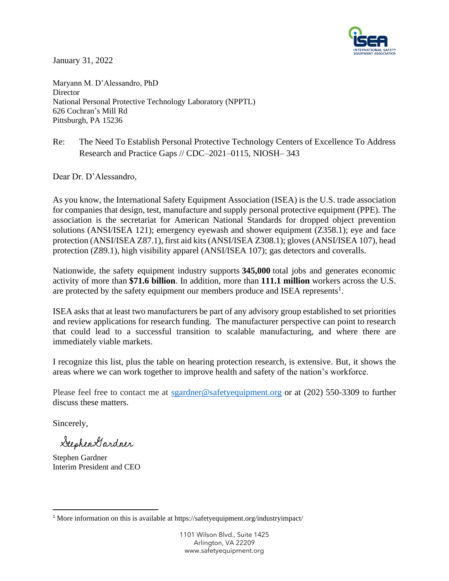

January 31, 2022

Maryann M. D'Alessandro, PhD **Director** National Personal Protective Technology Laboratory (NPPTL) 626 Cochran's Mill Rd Pittsburgh, PA 15236

Re: The Need To Establish Personal Protective Technology Centers of Excellence To Address Research and Practice Gaps // CDC–2021–0115, NIOSH– 343

Dear Dr. D'Alessandro,

As you know, the International Safety Equipment Association (ISEA) is the U.S. trade association for companies that design, test, manufacture and supply personal protective equipment (PPE). The association is the secretariat for American National Standards for dropped object prevention solutions (ANSI/ISEA 121); emergency eyewash and shower equipment (Z358.1); eye and face protection (ANSI/ISEA Z87.1), first aid kits (ANSI/ISEA Z308.1); gloves (ANSI/ISEA 107), head protection (Z89.1), high visibility apparel (ANSI/ISEA 107); gas detectors and coveralls.

Nationwide, the safety equipment industry supports **345,000** total jobs and generates economic activity of more than **\$71.6 billion**. In addition, more than **111.1 million** workers across the U.S. are protected by the safety equipment our members produce and ISEA represents<sup>1</sup>.

ISEA asks that at least two manufacturers be part of any advisory group established to set priorities and review applications for research funding. The manufacturer perspective can point to research that could lead to a successful transition to scalable manufacturing, and where there are immediately viable markets.

I recognize this list, plus the table on hearing protection research, is extensive. But, it shows the areas where we can work together to improve health and safety of the nation's workforce.

Please feel free to contact me at [sgardner@safetyequipment.org](mailto:sgardner@safetyequipment.org) or at (202) 550-3309 to further discuss these matters.

Sincerely,

Stephen Gardner

Stephen Gardner Interim President and CEO

<sup>1</sup> More information on this is available at https://safetyequipment.org/industryimpact/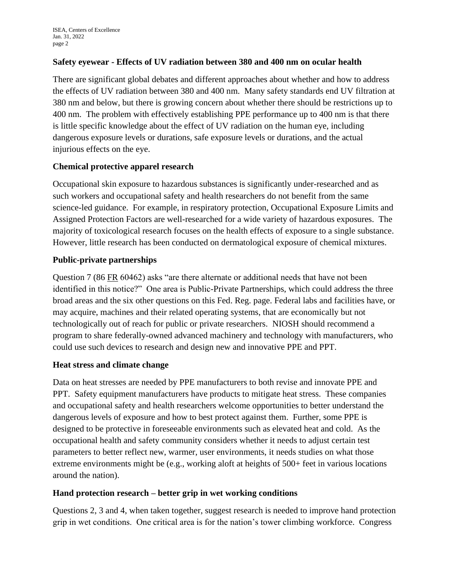#### **Safety eyewear - Effects of UV radiation between 380 and 400 nm on ocular health**

There are significant global debates and different approaches about whether and how to address the effects of UV radiation between 380 and 400 nm. Many safety standards end UV filtration at 380 nm and below, but there is growing concern about whether there should be restrictions up to 400 nm. The problem with effectively establishing PPE performance up to 400 nm is that there is little specific knowledge about the effect of UV radiation on the human eye, including dangerous exposure levels or durations, safe exposure levels or durations, and the actual injurious effects on the eye.

### **Chemical protective apparel research**

Occupational skin exposure to hazardous substances is significantly under-researched and as such workers and occupational safety and health researchers do not benefit from the same science-led guidance. For example, in respiratory protection, Occupational Exposure Limits and Assigned Protection Factors are well-researched for a wide variety of hazardous exposures. The majority of toxicological research focuses on the health effects of exposure to a single substance. However, little research has been conducted on dermatological exposure of chemical mixtures.

### **Public-private partnerships**

Question 7 (86 FR 60462) asks "are there alternate or additional needs that have not been identified in this notice?" One area is Public-Private Partnerships, which could address the three broad areas and the six other questions on this Fed. Reg. page. Federal labs and facilities have, or may acquire, machines and their related operating systems, that are economically but not technologically out of reach for public or private researchers. NIOSH should recommend a program to share federally-owned advanced machinery and technology with manufacturers, who could use such devices to research and design new and innovative PPE and PPT.

#### **Heat stress and climate change**

Data on heat stresses are needed by PPE manufacturers to both revise and innovate PPE and PPT. Safety equipment manufacturers have products to mitigate heat stress. These companies and occupational safety and health researchers welcome opportunities to better understand the dangerous levels of exposure and how to best protect against them. Further, some PPE is designed to be protective in foreseeable environments such as elevated heat and cold. As the occupational health and safety community considers whether it needs to adjust certain test parameters to better reflect new, warmer, user environments, it needs studies on what those extreme environments might be (e.g., working aloft at heights of 500+ feet in various locations around the nation).

#### **Hand protection research – better grip in wet working conditions**

Questions 2, 3 and 4, when taken together, suggest research is needed to improve hand protection grip in wet conditions. One critical area is for the nation's tower climbing workforce. Congress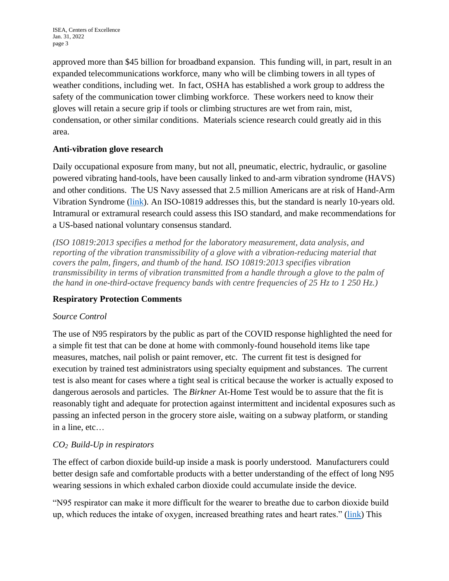approved more than \$45 billion for broadband expansion. This funding will, in part, result in an expanded telecommunications workforce, many who will be climbing towers in all types of weather conditions, including wet. In fact, OSHA has established a work group to address the safety of the communication tower climbing workforce. These workers need to know their gloves will retain a secure grip if tools or climbing structures are wet from rain, mist, condensation, or other similar conditions. Materials science research could greatly aid in this area.

## **Anti-vibration glove research**

Daily occupational exposure from many, but not all, pneumatic, electric, hydraulic, or gasoline powered vibrating hand-tools, have been causally linked to and-arm vibration syndrome (HAVS) and other conditions. The US Navy assessed that 2.5 million Americans are at risk of Hand-Arm Vibration Syndrome [\(link\)](https://www.gsa.gov/cdnstatic/Hand-Arm_Vibration_Syndrome_01-06-2016.pdf). An ISO-10819 addresses this, but the standard is nearly 10-years old. Intramural or extramural research could assess this ISO standard, and make recommendations for a US-based national voluntary consensus standard.

*(ISO 10819:2013 specifies a method for the laboratory measurement, data analysis, and reporting of the vibration transmissibility of a glove with a vibration-reducing material that covers the palm, fingers, and thumb of the hand. ISO 10819:2013 specifies vibration transmissibility in terms of vibration transmitted from a handle through a glove to the palm of the hand in one-third-octave frequency bands with centre frequencies of 25 Hz to 1 250 Hz.)*

## **Respiratory Protection Comments**

#### *Source Control*

The use of N95 respirators by the public as part of the COVID response highlighted the need for a simple fit test that can be done at home with commonly-found household items like tape measures, matches, nail polish or paint remover, etc. The current fit test is designed for execution by trained test administrators using specialty equipment and substances. The current test is also meant for cases where a tight seal is critical because the worker is actually exposed to dangerous aerosols and particles. The *Birkner* At-Home Test would be to assure that the fit is reasonably tight and adequate for protection against intermittent and incidental exposures such as passing an infected person in the grocery store aisle, waiting on a subway platform, or standing in a line, etc…

## *CO2 Build-Up in respirators*

The effect of carbon dioxide build-up inside a mask is poorly understood. Manufacturers could better design safe and comfortable products with a better understanding of the effect of long N95 wearing sessions in which exhaled carbon dioxide could accumulate inside the device.

"N95 respirator can make it more difficult for the wearer to breathe due to carbon dioxide build up, which reduces the intake of oxygen, increased breathing rates and heart rates." [\(link\)](https://dhs.saccounty.gov/PUB/Documents/PUB_N95MaskRecommendations.pdf) This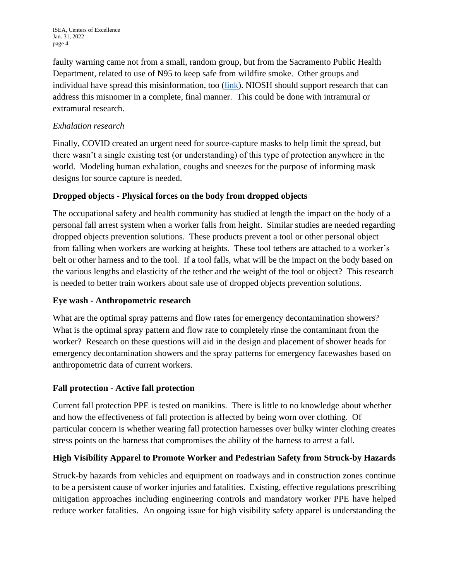faulty warning came not from a small, random group, but from the Sacramento Public Health Department, related to use of N95 to keep safe from wildfire smoke. Other groups and individual have spread this misinformation, too [\(link\)](https://aip.scitation.org/doi/10.1063/5.0061574). NIOSH should support research that can address this misnomer in a complete, final manner. This could be done with intramural or extramural research.

## *Exhalation research*

Finally, COVID created an urgent need for source-capture masks to help limit the spread, but there wasn't a single existing test (or understanding) of this type of protection anywhere in the world. Modeling human exhalation, coughs and sneezes for the purpose of informing mask designs for source capture is needed.

## **Dropped objects - Physical forces on the body from dropped objects**

The occupational safety and health community has studied at length the impact on the body of a personal fall arrest system when a worker falls from height. Similar studies are needed regarding dropped objects prevention solutions. These products prevent a tool or other personal object from falling when workers are working at heights. These tool tethers are attached to a worker's belt or other harness and to the tool. If a tool falls, what will be the impact on the body based on the various lengths and elasticity of the tether and the weight of the tool or object? This research is needed to better train workers about safe use of dropped objects prevention solutions.

## **Eye wash - Anthropometric research**

What are the optimal spray patterns and flow rates for emergency decontamination showers? What is the optimal spray pattern and flow rate to completely rinse the contaminant from the worker? Research on these questions will aid in the design and placement of shower heads for emergency decontamination showers and the spray patterns for emergency facewashes based on anthropometric data of current workers.

# **Fall protection - Active fall protection**

Current fall protection PPE is tested on manikins. There is little to no knowledge about whether and how the effectiveness of fall protection is affected by being worn over clothing. Of particular concern is whether wearing fall protection harnesses over bulky winter clothing creates stress points on the harness that compromises the ability of the harness to arrest a fall.

# **High Visibility Apparel to Promote Worker and Pedestrian Safety from Struck-by Hazards**

Struck-by hazards from vehicles and equipment on roadways and in construction zones continue to be a persistent cause of worker injuries and fatalities. Existing, effective regulations prescribing mitigation approaches including engineering controls and mandatory worker PPE have helped reduce worker fatalities. An ongoing issue for high visibility safety apparel is understanding the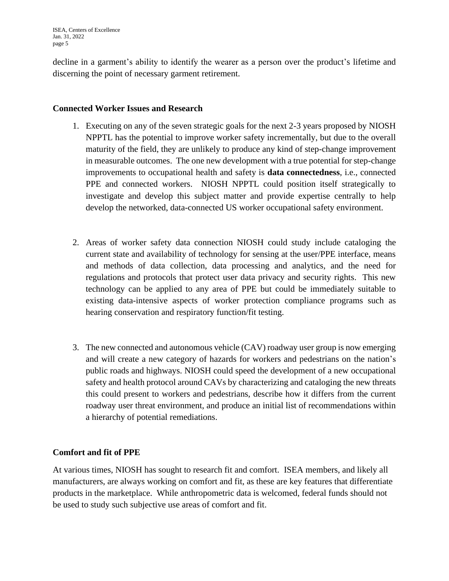decline in a garment's ability to identify the wearer as a person over the product's lifetime and discerning the point of necessary garment retirement.

#### **Connected Worker Issues and Research**

- 1. Executing on any of the seven strategic goals for the next 2-3 years proposed by NIOSH NPPTL has the potential to improve worker safety incrementally, but due to the overall maturity of the field, they are unlikely to produce any kind of step-change improvement in measurable outcomes. The one new development with a true potential for step-change improvements to occupational health and safety is **data connectedness**, i.e., connected PPE and connected workers. NIOSH NPPTL could position itself strategically to investigate and develop this subject matter and provide expertise centrally to help develop the networked, data-connected US worker occupational safety environment.
- 2. Areas of worker safety data connection NIOSH could study include cataloging the current state and availability of technology for sensing at the user/PPE interface, means and methods of data collection, data processing and analytics, and the need for regulations and protocols that protect user data privacy and security rights. This new technology can be applied to any area of PPE but could be immediately suitable to existing data-intensive aspects of worker protection compliance programs such as hearing conservation and respiratory function/fit testing.
- 3. The new connected and autonomous vehicle (CAV) roadway user group is now emerging and will create a new category of hazards for workers and pedestrians on the nation's public roads and highways. NIOSH could speed the development of a new occupational safety and health protocol around CAVs by characterizing and cataloging the new threats this could present to workers and pedestrians, describe how it differs from the current roadway user threat environment, and produce an initial list of recommendations within a hierarchy of potential remediations.

#### **Comfort and fit of PPE**

At various times, NIOSH has sought to research fit and comfort. ISEA members, and likely all manufacturers, are always working on comfort and fit, as these are key features that differentiate products in the marketplace. While anthropometric data is welcomed, federal funds should not be used to study such subjective use areas of comfort and fit.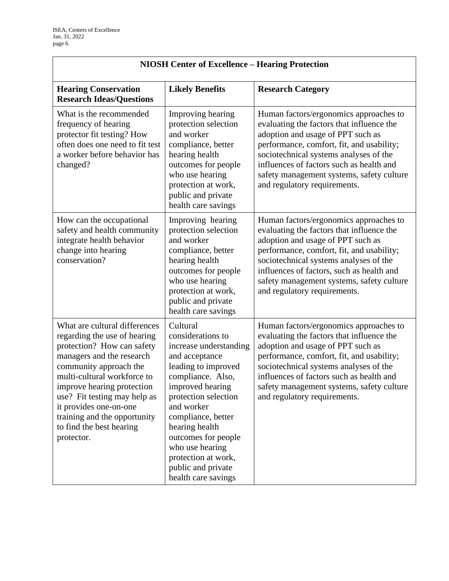$\Gamma$ 

| <b>NIOSH Center of Excellence - Hearing Protection</b>                                                                                                                                                                                                                                                                                              |                                                                                                                                                                                                                                                                                                                                       |                                                                                                                                                                                                                                                                                                                                           |  |
|-----------------------------------------------------------------------------------------------------------------------------------------------------------------------------------------------------------------------------------------------------------------------------------------------------------------------------------------------------|---------------------------------------------------------------------------------------------------------------------------------------------------------------------------------------------------------------------------------------------------------------------------------------------------------------------------------------|-------------------------------------------------------------------------------------------------------------------------------------------------------------------------------------------------------------------------------------------------------------------------------------------------------------------------------------------|--|
| <b>Hearing Conservation</b><br><b>Research Ideas/Questions</b>                                                                                                                                                                                                                                                                                      | <b>Likely Benefits</b>                                                                                                                                                                                                                                                                                                                | <b>Research Category</b>                                                                                                                                                                                                                                                                                                                  |  |
| What is the recommended<br>frequency of hearing<br>protector fit testing? How<br>often does one need to fit test<br>a worker before behavior has<br>changed?                                                                                                                                                                                        | Improving hearing<br>protection selection<br>and worker<br>compliance, better<br>hearing health<br>outcomes for people<br>who use hearing<br>protection at work,<br>public and private<br>health care savings                                                                                                                         | Human factors/ergonomics approaches to<br>evaluating the factors that influence the<br>adoption and usage of PPT such as<br>performance, comfort, fit, and usability;<br>sociotechnical systems analyses of the<br>influences of factors such as health and<br>safety management systems, safety culture<br>and regulatory requirements.  |  |
| How can the occupational<br>safety and health community<br>integrate health behavior<br>change into hearing<br>conservation?                                                                                                                                                                                                                        | Improving hearing<br>protection selection<br>and worker<br>compliance, better<br>hearing health<br>outcomes for people<br>who use hearing<br>protection at work,<br>public and private<br>health care savings                                                                                                                         | Human factors/ergonomics approaches to<br>evaluating the factors that influence the<br>adoption and usage of PPT such as<br>performance, comfort, fit, and usability;<br>sociotechnical systems analyses of the<br>influences of factors, such as health and<br>safety management systems, safety culture<br>and regulatory requirements. |  |
| What are cultural differences<br>regarding the use of hearing<br>protection? How can safety<br>managers and the research<br>community approach the<br>multi-cultural workforce to<br>improve hearing protection<br>use? Fit testing may help as<br>it provides one-on-one<br>training and the opportunity<br>to find the best hearing<br>protector. | Cultural<br>considerations to<br>increase understanding<br>and acceptance<br>leading to improved<br>compliance. Also,<br>improved hearing<br>protection selection<br>and worker<br>compliance, better<br>hearing health<br>outcomes for people<br>who use hearing<br>protection at work,<br>public and private<br>health care savings | Human factors/ergonomics approaches to<br>evaluating the factors that influence the<br>adoption and usage of PPT such as<br>performance, comfort, fit, and usability;<br>sociotechnical systems analyses of the<br>influences of factors such as health and<br>safety management systems, safety culture<br>and regulatory requirements.  |  |

٦